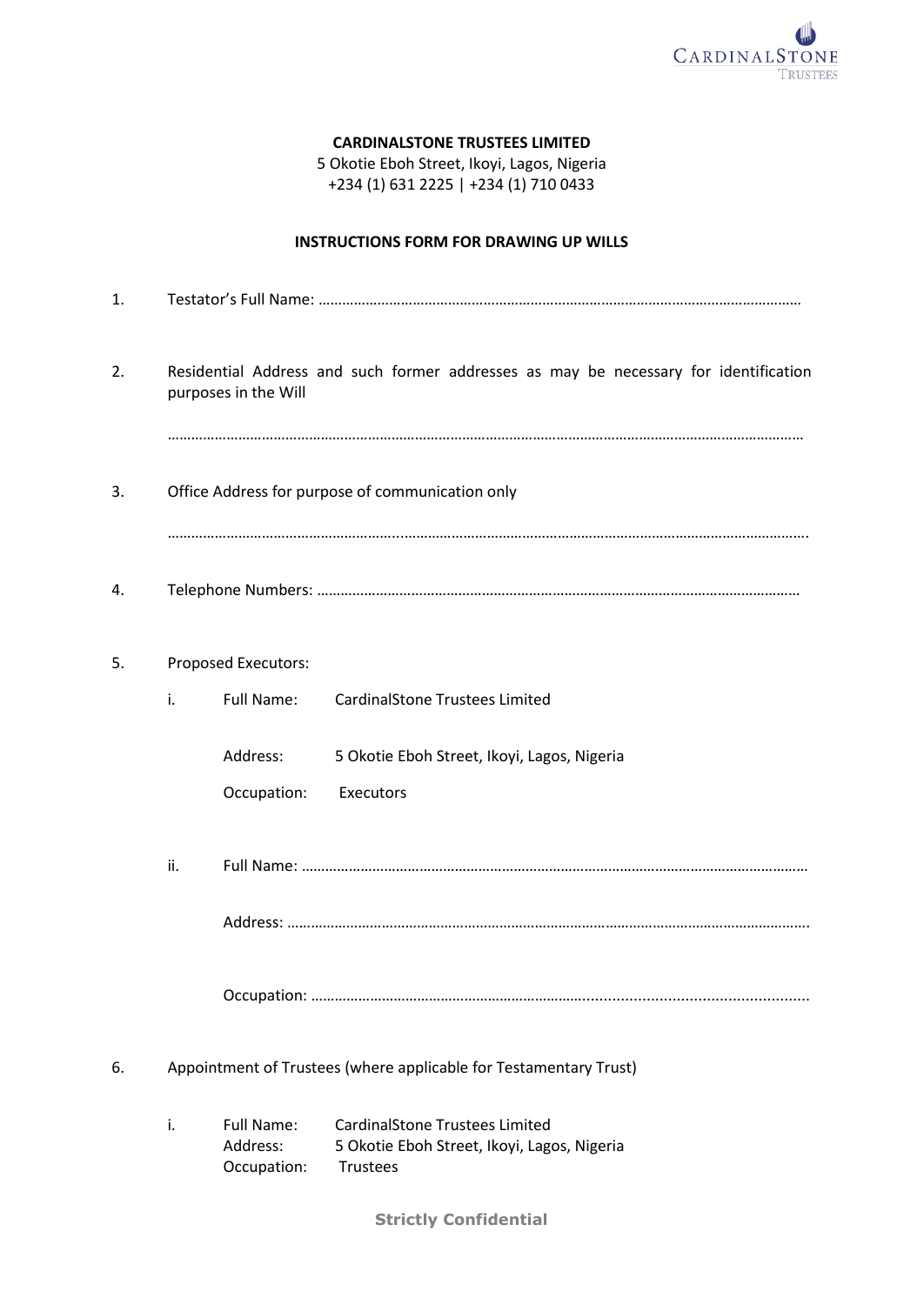

### **CARDINALSTONE TRUSTEES LIMITED**

5 Okotie Eboh Street, Ikoyi, Lagos, Nigeria +234 (1) 631 2225 | +234 (1) 710 0433

## **INSTRUCTIONS FORM FOR DRAWING UP WILLS**

| 1. |                                                                                                              |                                       |                                                                                                         |  |  |  |  |
|----|--------------------------------------------------------------------------------------------------------------|---------------------------------------|---------------------------------------------------------------------------------------------------------|--|--|--|--|
| 2. | Residential Address and such former addresses as may be necessary for identification<br>purposes in the Will |                                       |                                                                                                         |  |  |  |  |
|    |                                                                                                              |                                       |                                                                                                         |  |  |  |  |
| 3. | Office Address for purpose of communication only                                                             |                                       |                                                                                                         |  |  |  |  |
| 4. |                                                                                                              |                                       |                                                                                                         |  |  |  |  |
| 5. |                                                                                                              | Proposed Executors:                   |                                                                                                         |  |  |  |  |
|    | i.                                                                                                           | <b>Full Name:</b>                     | <b>CardinalStone Trustees Limited</b>                                                                   |  |  |  |  |
|    |                                                                                                              | Address:                              | 5 Okotie Eboh Street, Ikoyi, Lagos, Nigeria                                                             |  |  |  |  |
|    |                                                                                                              | Occupation:                           | Executors                                                                                               |  |  |  |  |
|    | ii.                                                                                                          |                                       |                                                                                                         |  |  |  |  |
|    |                                                                                                              |                                       |                                                                                                         |  |  |  |  |
|    |                                                                                                              |                                       |                                                                                                         |  |  |  |  |
| 6. | Appointment of Trustees (where applicable for Testamentary Trust)                                            |                                       |                                                                                                         |  |  |  |  |
|    | i.                                                                                                           | Full Name:<br>Address:<br>Occupation: | <b>CardinalStone Trustees Limited</b><br>5 Okotie Eboh Street, Ikoyi, Lagos, Nigeria<br><b>Trustees</b> |  |  |  |  |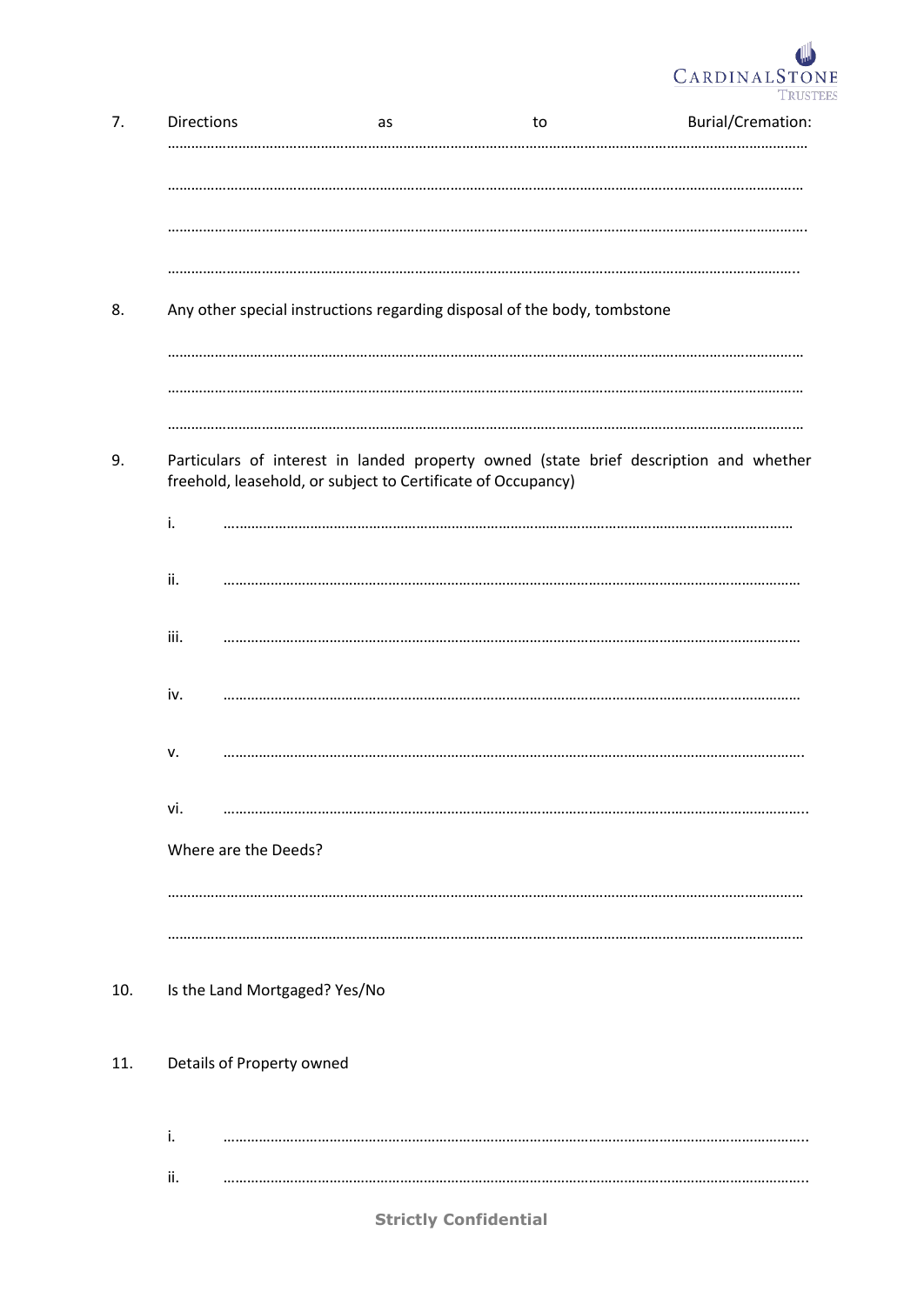

| 7.  | Directions                    | as                                                                       | to | <b>Burial/Cremation:</b>                                                              |
|-----|-------------------------------|--------------------------------------------------------------------------|----|---------------------------------------------------------------------------------------|
|     |                               |                                                                          |    |                                                                                       |
|     |                               |                                                                          |    |                                                                                       |
|     |                               |                                                                          |    |                                                                                       |
| 8.  |                               | Any other special instructions regarding disposal of the body, tombstone |    |                                                                                       |
|     |                               |                                                                          |    |                                                                                       |
|     |                               |                                                                          |    |                                                                                       |
| 9.  |                               | freehold, leasehold, or subject to Certificate of Occupancy)             |    | Particulars of interest in landed property owned (state brief description and whether |
|     | i.                            |                                                                          |    |                                                                                       |
|     | ii.                           |                                                                          |    |                                                                                       |
|     | iii.                          |                                                                          |    |                                                                                       |
|     | iv.                           |                                                                          |    |                                                                                       |
|     | v.                            |                                                                          |    |                                                                                       |
|     | vi.                           |                                                                          |    |                                                                                       |
|     | Where are the Deeds?          |                                                                          |    |                                                                                       |
|     |                               |                                                                          |    |                                                                                       |
|     |                               |                                                                          |    |                                                                                       |
| 10. | Is the Land Mortgaged? Yes/No |                                                                          |    |                                                                                       |
| 11. | Details of Property owned     |                                                                          |    |                                                                                       |
|     | i.                            |                                                                          |    |                                                                                       |
|     | ii.                           |                                                                          |    |                                                                                       |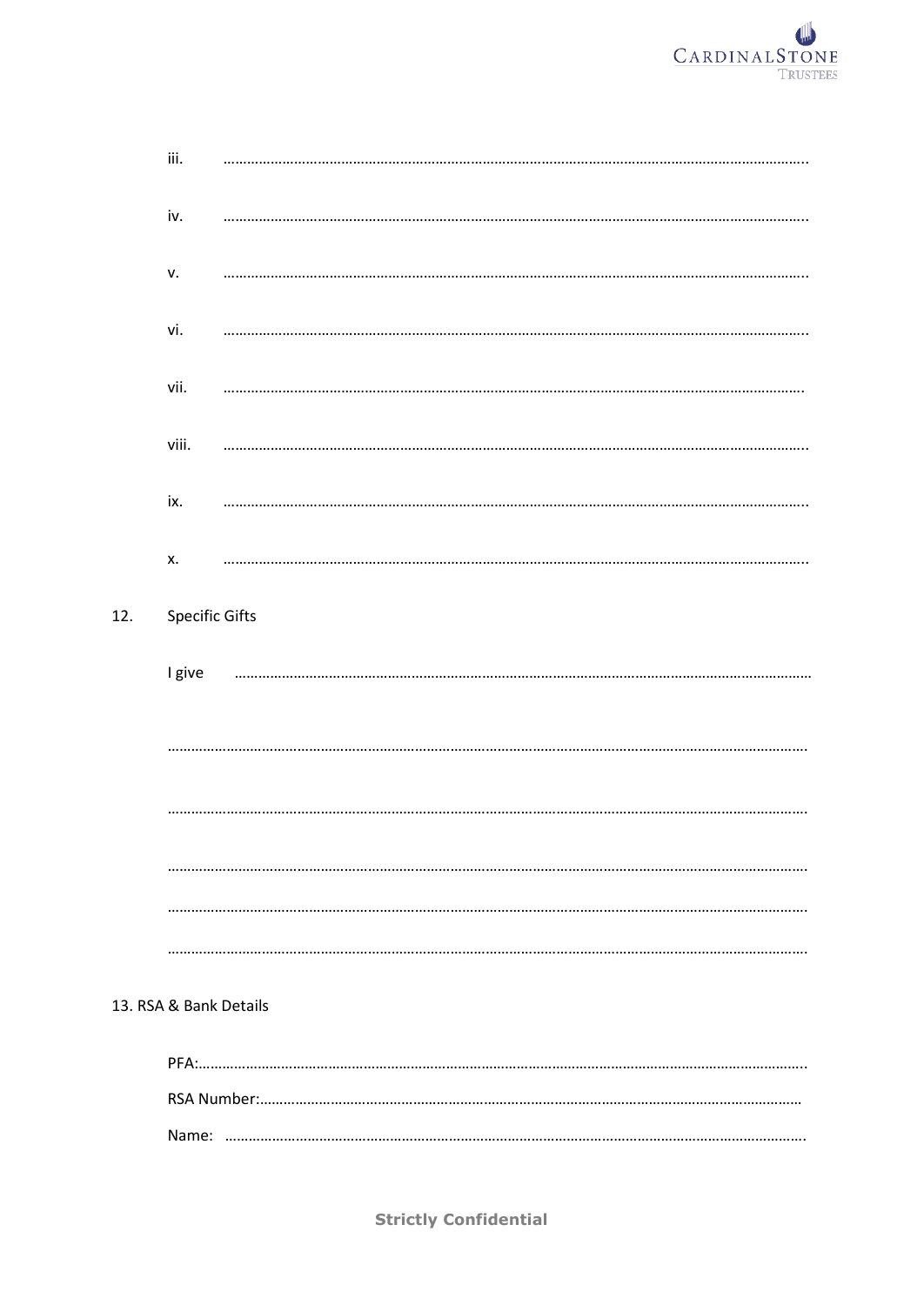

| iii.                  |   |
|-----------------------|---|
| iv.                   | . |
| v.                    |   |
| vi.                   |   |
| vii.                  |   |
| viii.                 |   |
| ix.                   |   |
| Х.                    |   |
| <b>Specific Gifts</b> |   |
| I give                |   |
|                       |   |
|                       |   |
|                       |   |
|                       |   |
|                       |   |

#### 13. RSA & Bank Details

 $12.$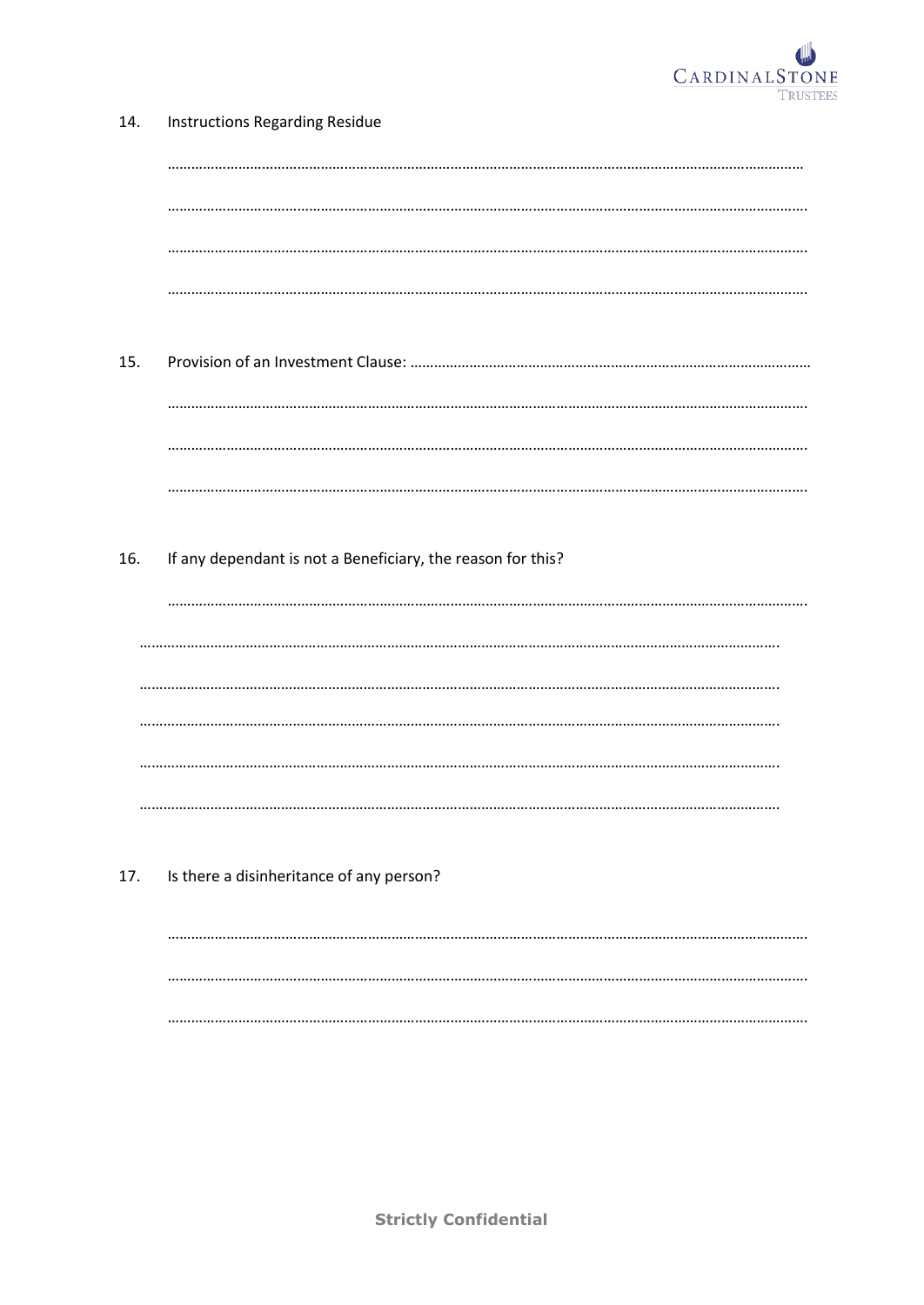

| 14. | <b>Instructions Regarding Residue</b>                       |  |  |  |  |
|-----|-------------------------------------------------------------|--|--|--|--|
|     |                                                             |  |  |  |  |
|     |                                                             |  |  |  |  |
|     |                                                             |  |  |  |  |
|     |                                                             |  |  |  |  |
| 15. |                                                             |  |  |  |  |
|     |                                                             |  |  |  |  |
|     |                                                             |  |  |  |  |
|     |                                                             |  |  |  |  |
| 16. | If any dependant is not a Beneficiary, the reason for this? |  |  |  |  |
|     |                                                             |  |  |  |  |
|     |                                                             |  |  |  |  |
|     |                                                             |  |  |  |  |
|     |                                                             |  |  |  |  |
|     |                                                             |  |  |  |  |
|     |                                                             |  |  |  |  |
| 17. | Is there a disinheritance of any person?                    |  |  |  |  |
|     |                                                             |  |  |  |  |
|     |                                                             |  |  |  |  |
|     |                                                             |  |  |  |  |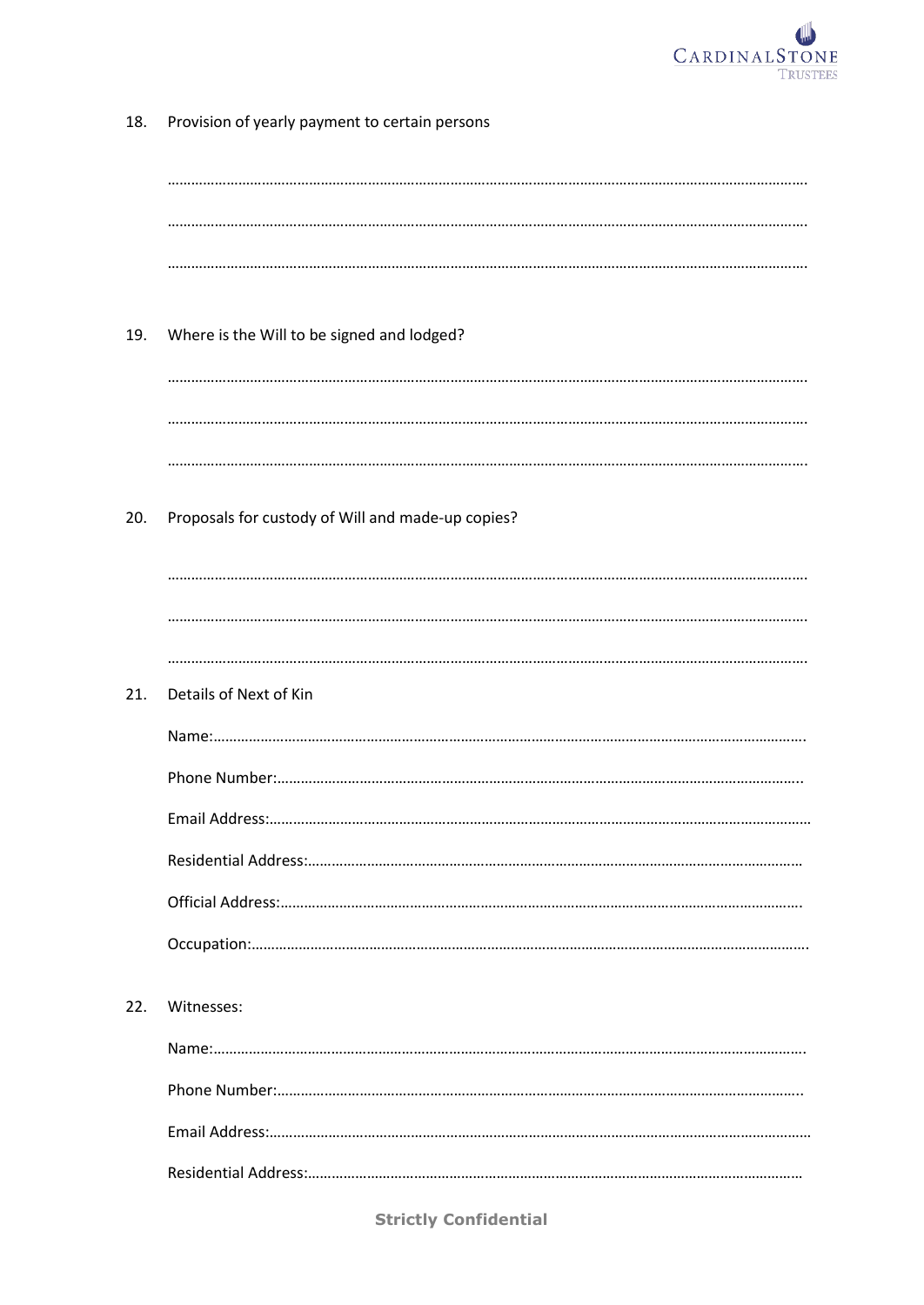

| 18. | Provision of yearly payment to certain persons    |
|-----|---------------------------------------------------|
|     |                                                   |
|     |                                                   |
|     |                                                   |
| 19. | Where is the Will to be signed and lodged?        |
|     |                                                   |
|     |                                                   |
| 20. | Proposals for custody of Will and made-up copies? |
|     |                                                   |
|     |                                                   |
|     |                                                   |
| 21. | Details of Next of Kin                            |
|     | Name:                                             |
|     | Phone Number:                                     |
|     |                                                   |
|     |                                                   |
|     |                                                   |
|     |                                                   |
| 22. | Witnesses:                                        |
|     |                                                   |
|     |                                                   |
|     |                                                   |
|     |                                                   |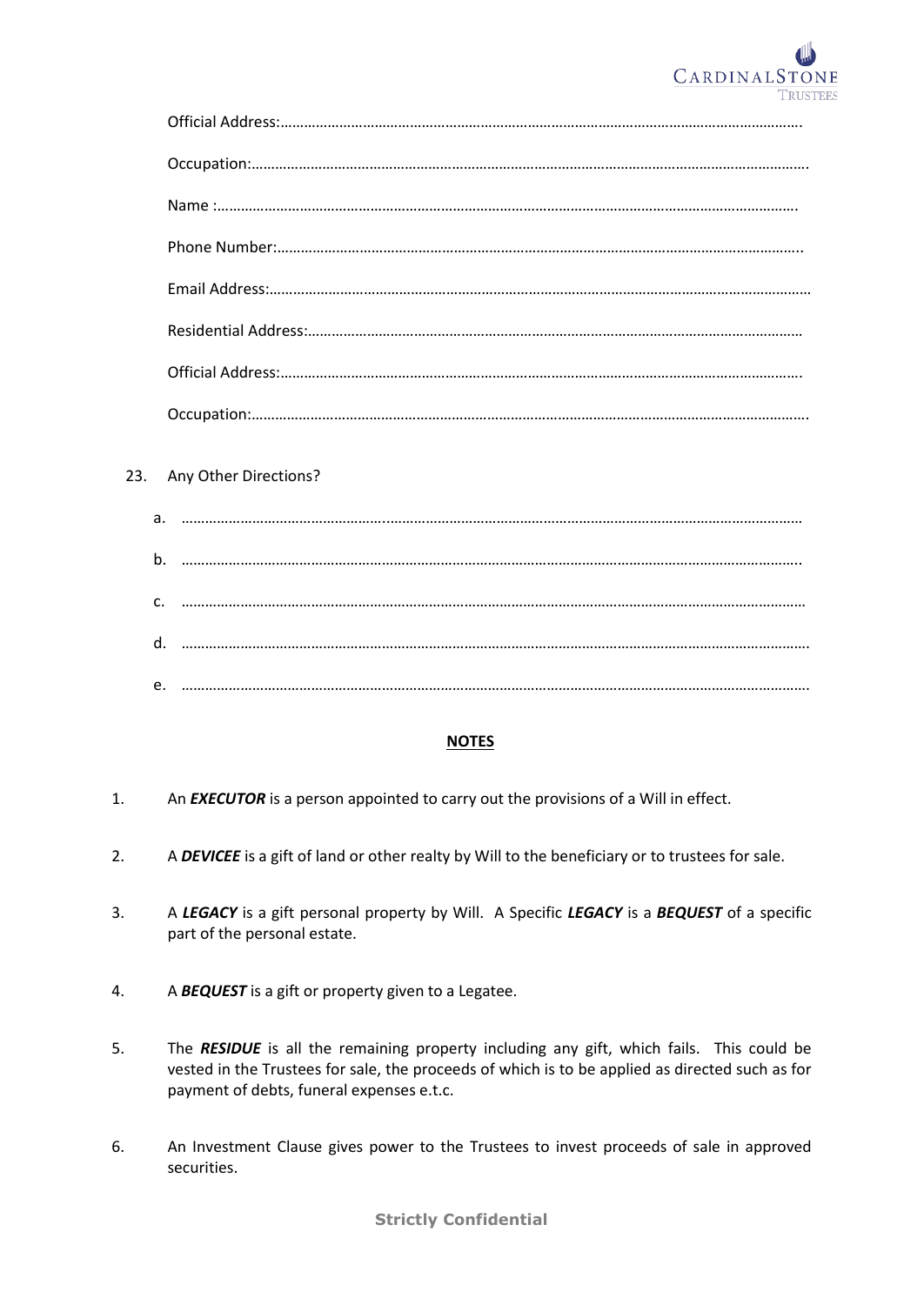

## 23. Any Other Directions?

| b. |  |
|----|--|
|    |  |
|    |  |
| d. |  |
|    |  |
| e. |  |

#### **NOTES**

- 1. An *EXECUTOR* is a person appointed to carry out the provisions of a Will in effect.
- 2. A *DEVICEE* is a gift of land or other realty by Will to the beneficiary or to trustees for sale.
- 3. A *LEGACY* is a gift personal property by Will. A Specific *LEGACY* is a *BEQUEST* of a specific part of the personal estate.
- 4. A *BEQUEST* is a gift or property given to a Legatee.
- 5. The *RESIDUE* is all the remaining property including any gift, which fails. This could be vested in the Trustees for sale, the proceeds of which is to be applied as directed such as for payment of debts, funeral expenses e.t.c.
- 6. An Investment Clause gives power to the Trustees to invest proceeds of sale in approved securities.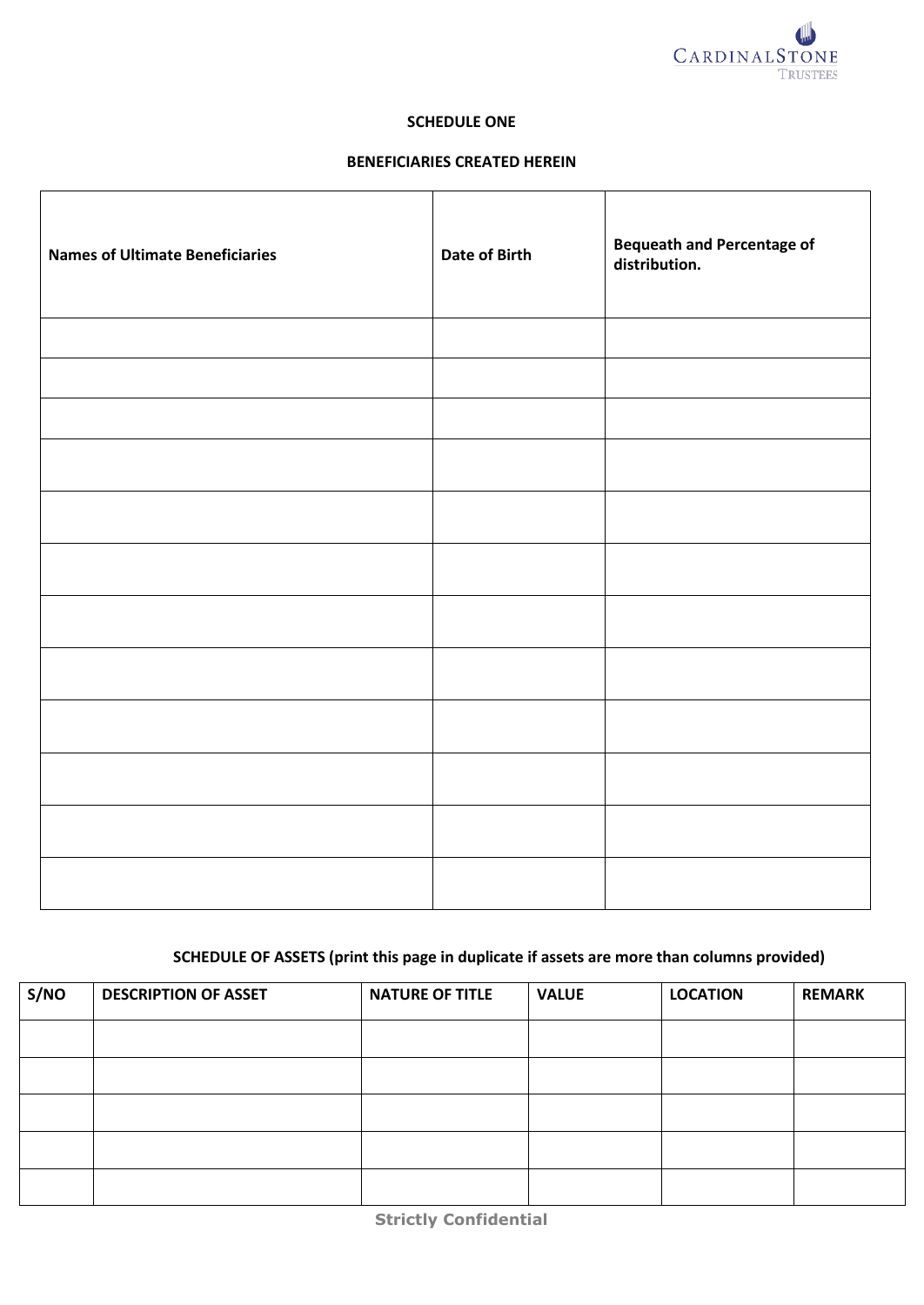

#### **SCHEDULE ONE**

## **BENEFICIARIES CREATED HEREIN**

 $\overline{\mathbf{r}}$ 

 $\mathsf{r}$ 

| <b>Names of Ultimate Beneficiaries</b> | Date of Birth | <b>Bequeath and Percentage of</b><br>distribution. |
|----------------------------------------|---------------|----------------------------------------------------|
|                                        |               |                                                    |
|                                        |               |                                                    |
|                                        |               |                                                    |
|                                        |               |                                                    |
|                                        |               |                                                    |
|                                        |               |                                                    |
|                                        |               |                                                    |
|                                        |               |                                                    |
|                                        |               |                                                    |
|                                        |               |                                                    |
|                                        |               |                                                    |
|                                        |               |                                                    |

# **SCHEDULE OF ASSETS (print this page in duplicate if assets are more than columns provided)**

| S/NO | <b>DESCRIPTION OF ASSET</b> | <b>NATURE OF TITLE</b> | <b>VALUE</b> | <b>LOCATION</b> | <b>REMARK</b> |
|------|-----------------------------|------------------------|--------------|-----------------|---------------|
|      |                             |                        |              |                 |               |
|      |                             |                        |              |                 |               |
|      |                             |                        |              |                 |               |
|      |                             |                        |              |                 |               |
|      |                             |                        |              |                 |               |